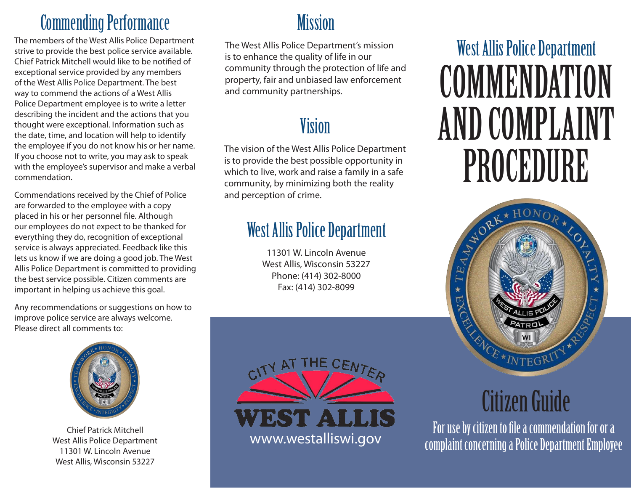#### **Commending Performance Mission**

The members of the West Allis Police Department strive to provide the best police service available. Chief Patrick Mitchell would like to be notified of exceptional service provided by any members of the West Allis Police Department. The best way to commend the actions of a West Allis Police Department employee is to write a letter describing the incident and the actions that you thought were exceptional. Information such as the date, time, and location will help to identify the employee if you do not know his or her name. If you choose not to write, you may ask to speak with the employee's supervisor and make a verbal commendation.

Commendations received by the Chief of Police are forwarded to the employee with a copy placed in his or her personnel file. Although our employees do not expect to be thanked for everything they do, recognition of exceptional service is always appreciated. Feedback like this lets us know if we are doing a good job. The West Allis Police Department is committed to providing the best service possible. Citizen comments are important in helping us achieve this goal.

Any recommendations or suggestions on how to improve police service are always welcome. Please direct all comments to:



Chief Patrick Mitchell West Allis Police Department 11301 W. Lincoln Avenue West Allis, Wisconsin 53227

The West Allis Police Department's mission is to enhance the quality of life in our community through the protection of life and property, fair and unbiased law enforcement and community partnerships.

#### Vision

The vision of the West Allis Police Department is to provide the best possible opportunity in which to live, work and raise a family in a safe community, by minimizing both the reality and perception of crime.

### West Allis Police Department

11301 W. Lincoln Avenue West Allis, Wisconsin 53227 Phone: (414) 302-8000 Fax: (414) 302-8099



# West Allis Police Department **COMMENDATION** AND COMPLAINT PROCEDURE



## Citizen Guide

For use by citizen to file a commendation for or a complaint concerning a Police Department Employee